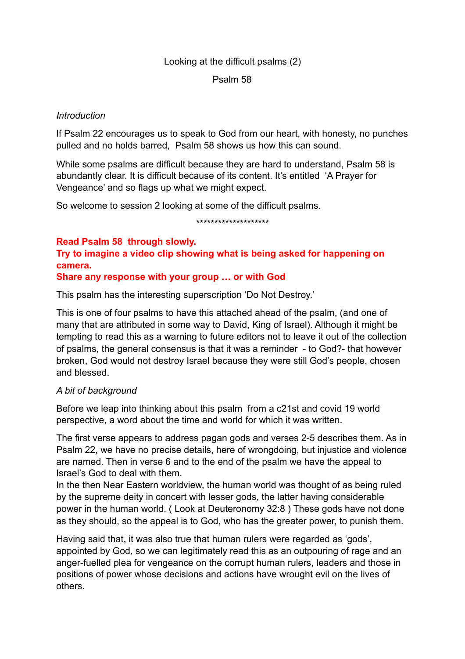## Looking at the difficult psalms (2)

#### Psalm 58

#### *Introduction*

If Psalm 22 encourages us to speak to God from our heart, with honesty, no punches pulled and no holds barred, Psalm 58 shows us how this can sound.

While some psalms are difficult because they are hard to understand, Psalm 58 is abundantly clear. It is difficult because of its content. It's entitled 'A Prayer for Vengeance' and so flags up what we might expect.

So welcome to session 2 looking at some of the difficult psalms.

\*\*\*\*\*\*\*\*\*\*\*\*\*\*\*\*\*\*\*\*

**Read Psalm 58 through slowly. Try to imagine a video clip showing what is being asked for happening on camera.** 

**Share any response with your group … or with God**

This psalm has the interesting superscription 'Do Not Destroy.'

This is one of four psalms to have this attached ahead of the psalm, (and one of many that are attributed in some way to David, King of Israel). Although it might be tempting to read this as a warning to future editors not to leave it out of the collection of psalms, the general consensus is that it was a reminder - to God?- that however broken, God would not destroy Israel because they were still God's people, chosen and blessed.

### *A bit of background*

Before we leap into thinking about this psalm from a c21st and covid 19 world perspective, a word about the time and world for which it was written.

The first verse appears to address pagan gods and verses 2-5 describes them. As in Psalm 22, we have no precise details, here of wrongdoing, but injustice and violence are named. Then in verse 6 and to the end of the psalm we have the appeal to Israel's God to deal with them.

In the then Near Eastern worldview, the human world was thought of as being ruled by the supreme deity in concert with lesser gods, the latter having considerable power in the human world. ( Look at Deuteronomy 32:8 ) These gods have not done as they should, so the appeal is to God, who has the greater power, to punish them.

Having said that, it was also true that human rulers were regarded as 'gods', appointed by God, so we can legitimately read this as an outpouring of rage and an anger-fuelled plea for vengeance on the corrupt human rulers, leaders and those in positions of power whose decisions and actions have wrought evil on the lives of others.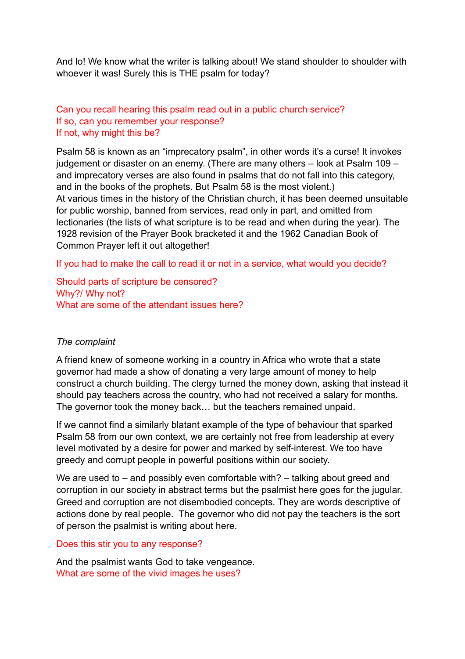And lo! We know what the writer is talking about! We stand shoulder to shoulder with whoever it was! Surely this is THE psalm for today?

# Can you recall hearing this psalm read out in a public church service? If so, can you remember your response? If not, why might this be?

Psalm 58 is known as an "imprecatory psalm", in other words it's a curse! It invokes judgement or disaster on an enemy. (There are many others – look at Psalm 109 – and imprecatory verses are also found in psalms that do not fall into this category, and in the books of the prophets. But Psalm 58 is the most violent.) At various times in the history of the Christian church, it has been deemed unsuitable for public worship, banned from services, read only in part, and omitted from lectionaries (the lists of what scripture is to be read and when during the year). The 1928 revision of the Prayer Book bracketed it and the 1962 Canadian Book of Common Prayer left it out altogether!

If you had to make the call to read it or not in a service, what would you decide?

Should parts of scripture be censored? Why?/ Why not? What are some of the attendant issues here?

# *The complaint*

A friend knew of someone working in a country in Africa who wrote that a state governor had made a show of donating a very large amount of money to help construct a church building. The clergy turned the money down, asking that instead it should pay teachers across the country, who had not received a salary for months. The governor took the money back… but the teachers remained unpaid.

If we cannot find a similarly blatant example of the type of behaviour that sparked Psalm 58 from our own context, we are certainly not free from leadership at every level motivated by a desire for power and marked by self-interest. We too have greedy and corrupt people in powerful positions within our society.

We are used to – and possibly even comfortable with? – talking about greed and corruption in our society in abstract terms but the psalmist here goes for the jugular. Greed and corruption are not disembodied concepts. They are words descriptive of actions done by real people. The governor who did not pay the teachers is the sort of person the psalmist is writing about here.

### Does this stir you to any response?

And the psalmist wants God to take vengeance. What are some of the vivid images he uses?